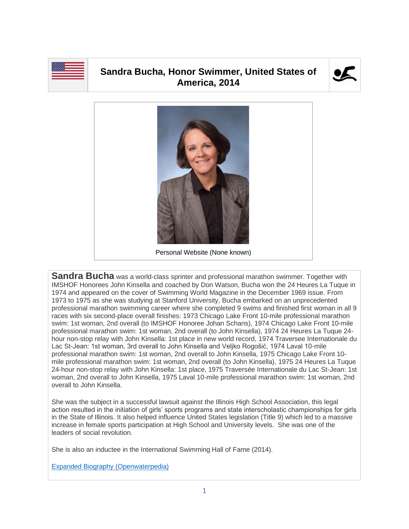

## **Sandra Bucha, Honor Swimmer, United States of America, 2014**





**Sandra Bucha** was a world-class sprinter and professional marathon swimmer. Together with IMSHOF Honorees John Kinsella and coached by Don Watson, Bucha won the 24 Heures La Tuque in 1974 and appeared on the cover of Swimming World Magazine in the December 1969 issue. From 1973 to 1975 as she was studying at Stanford University, Bucha embarked on an unprecedented professional marathon swimming career where she completed 9 swims and finished first woman in all 9 races with six second-place overall finishes: 1973 Chicago Lake Front 10-mile professional marathon swim: 1st woman, 2nd overall (to IMSHOF Honoree Johan Schans), 1974 Chicago Lake Front 10-mile professional marathon swim: 1st woman, 2nd overall (to John Kinsella), 1974 24 Heures La Tuque 24 hour non-stop relay with John Kinsella: 1st place in new world record, 1974 Traversee Internationale du Lac St-Jean: 1st woman, 3rd overall to John Kinsella and Veljko Rogošić, 1974 Laval 10-mile professional marathon swim: 1st woman, 2nd overall to John Kinsella, 1975 Chicago Lake Front 10 mile professional marathon swim: 1st woman, 2nd overall (to John Kinsella), 1975 24 Heures La Tuque 24-hour non-stop relay with John Kinsella: 1st place, 1975 Traversée Internationale du Lac St-Jean: 1st woman, 2nd overall to John Kinsella, 1975 Laval 10-mile professional marathon swim: 1st woman, 2nd overall to John Kinsella.

She was the subject in a successful lawsuit against the Illinois High School Association, this legal action resulted in the initiation of girls' sports programs and state interscholastic championships for girls in the State of Illinois. It also helped influence United States legislation (Title 9) which led to a massive increase in female sports participation at High School and University levels. She was one of the leaders of social revolution.

She is also an inductee in the International Swimming Hall of Fame (2014).

[Expanded Biography](https://www.openwaterpedia.com/index.php?title=Sandra_Bucha) (Openwaterpedia)